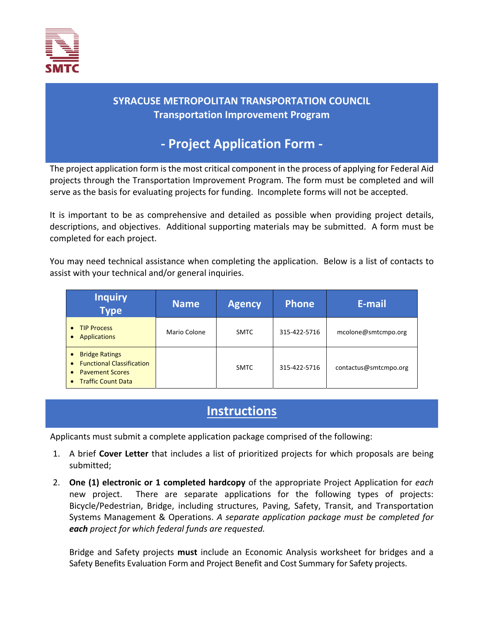

## **SYRACUSE METROPOLITAN TRANSPORTATION COUNCIL Transportation Improvement Program**

## **‐ Project Application Form ‐**

The project application form is the most critical component in the process of applying for Federal Aid projects through the Transportation Improvement Program. The form must be completed and will serve as the basis for evaluating projects for funding. Incomplete forms will not be accepted.

It is important to be as comprehensive and detailed as possible when providing project details, descriptions, and objectives. Additional supporting materials may be submitted. A form must be completed for each project.

You may need technical assistance when completing the application. Below is a list of contacts to assist with your technical and/or general inquiries.

| <b>Inquiry</b><br><b>Type</b>                                                                                                                                        | <b>Name</b>  | <b>Agency</b> | <b>Phone</b> | E-mail                |
|----------------------------------------------------------------------------------------------------------------------------------------------------------------------|--------------|---------------|--------------|-----------------------|
| <b>TIP Process</b><br>$\bullet$<br><b>Applications</b><br>$\bullet$                                                                                                  | Mario Colone | <b>SMTC</b>   | 315-422-5716 | mcolone@smtcmpo.org   |
| <b>Bridge Ratings</b><br>$\bullet$<br><b>Functional Classification</b><br>$\bullet$<br><b>Pavement Scores</b><br>$\bullet$<br><b>Traffic Count Data</b><br>$\bullet$ |              | <b>SMTC</b>   | 315-422-5716 | contactus@smtcmpo.org |

## **Instructions**

Applicants must submit a complete application package comprised of the following:

- 1. A brief **Cover Letter** that includes a list of prioritized projects for which proposals are being submitted;
- 2. **One (1) electronic or 1 completed hardcopy** of the appropriate Project Application for *each* new project. There are separate applications for the following types of projects: Bicycle/Pedestrian, Bridge, including structures, Paving, Safety, Transit, and Transportation Systems Management & Operations. *A separate application package must be completed for each project for which federal funds are requested.*

Bridge and Safety projects **must** include an Economic Analysis worksheet for bridges and a Safety Benefits Evaluation Form and Project Benefit and Cost Summary for Safety projects.